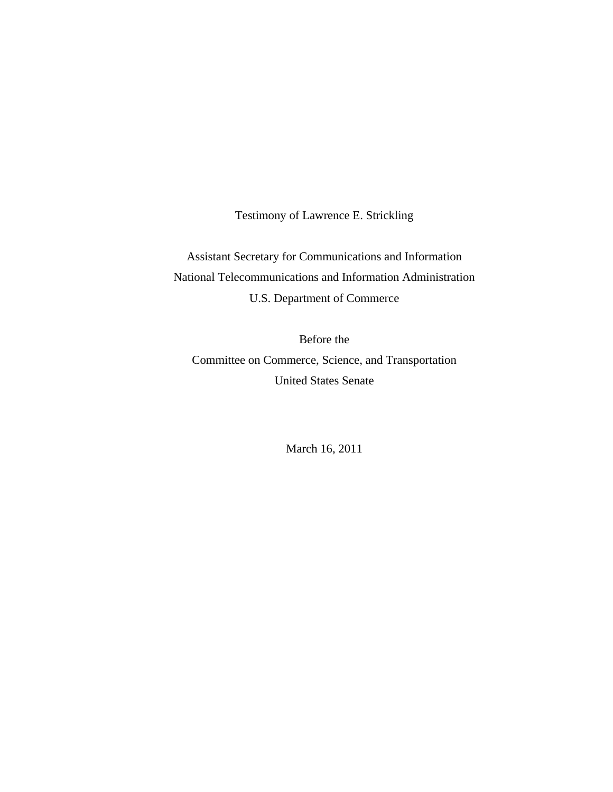Testimony of Lawrence E. Strickling

Assistant Secretary for Communications and Information National Telecommunications and Information Administration U.S. Department of Commerce

Before the Committee on Commerce, Science, and Transportation United States Senate

March 16, 2011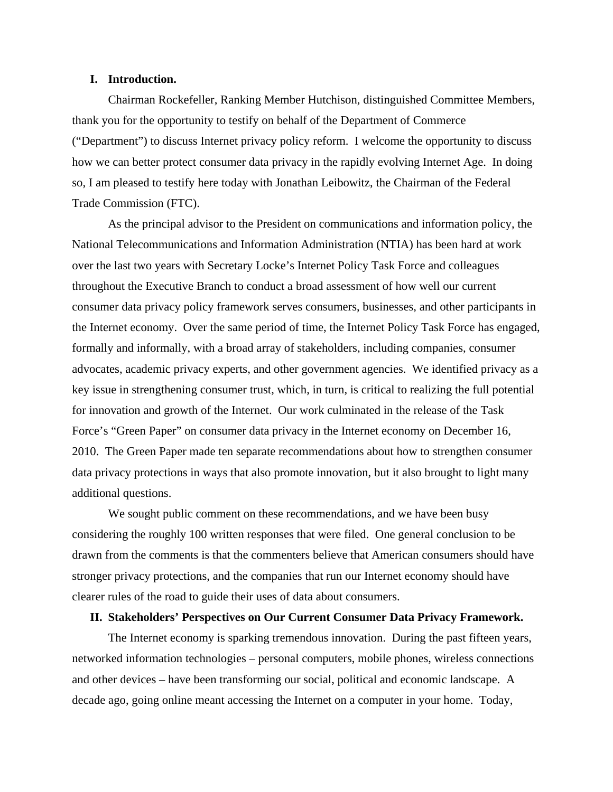# **I. Introduction.**

Chairman Rockefeller, Ranking Member Hutchison, distinguished Committee Members, thank you for the opportunity to testify on behalf of the Department of Commerce ("Department") to discuss Internet privacy policy reform. I welcome the opportunity to discuss how we can better protect consumer data privacy in the rapidly evolving Internet Age. In doing so, I am pleased to testify here today with Jonathan Leibowitz, the Chairman of the Federal Trade Commission (FTC).

As the principal advisor to the President on communications and information policy, the National Telecommunications and Information Administration (NTIA) has been hard at work over the last two years with Secretary Locke's Internet Policy Task Force and colleagues throughout the Executive Branch to conduct a broad assessment of how well our current consumer data privacy policy framework serves consumers, businesses, and other participants in the Internet economy. Over the same period of time, the Internet Policy Task Force has engaged, formally and informally, with a broad array of stakeholders, including companies, consumer advocates, academic privacy experts, and other government agencies. We identified privacy as a key issue in strengthening consumer trust, which, in turn, is critical to realizing the full potential for innovation and growth of the Internet. Our work culminated in the release of the Task Force's "Green Paper" on consumer data privacy in the Internet economy on December 16, 2010. The Green Paper made ten separate recommendations about how to strengthen consumer data privacy protections in ways that also promote innovation, but it also brought to light many additional questions.

We sought public comment on these recommendations, and we have been busy considering the roughly 100 written responses that were filed. One general conclusion to be drawn from the comments is that the commenters believe that American consumers should have stronger privacy protections, and the companies that run our Internet economy should have clearer rules of the road to guide their uses of data about consumers.

## **II. Stakeholders' Perspectives on Our Current Consumer Data Privacy Framework.**

The Internet economy is sparking tremendous innovation. During the past fifteen years, networked information technologies – personal computers, mobile phones, wireless connections and other devices – have been transforming our social, political and economic landscape. A decade ago, going online meant accessing the Internet on a computer in your home. Today,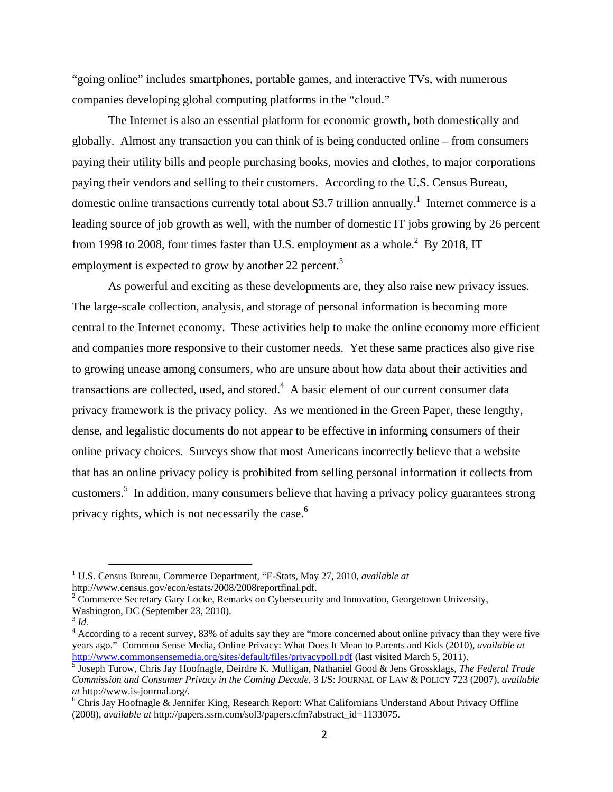"going online" includes smartphones, portable games, and interactive TVs, with numerous companies developing global computing platforms in the "cloud."

The Internet is also an essential platform for economic growth, both domestically and globally. Almost any transaction you can think of is being conducted online – from consumers paying their utility bills and people purchasing books, movies and clothes, to major corporations paying their vendors and selling to their customers. According to the U.S. Census Bureau, domestic online transactions currently total about \$3.7 trillion annually.<sup>1</sup> Internet commerce is a leading source of job growth as well, with the number of domestic IT jobs growing by 26 percent from 1998 to 2008, four times faster than U.S. employment as a whole.<sup>2</sup> By 2018, IT employment is expected to grow by another 22 percent.<sup>3</sup>

As powerful and exciting as these developments are, they also raise new privacy issues. The large-scale collection, analysis, and storage of personal information is becoming more central to the Internet economy. These activities help to make the online economy more efficient and companies more responsive to their customer needs. Yet these same practices also give rise to growing unease among consumers, who are unsure about how data about their activities and transactions are collected, used, and stored.<sup>4</sup> A basic element of our current consumer data privacy framework is the privacy policy. As we mentioned in the Green Paper, these lengthy, dense, and legalistic documents do not appear to be effective in informing consumers of their online privacy choices. Surveys show that most Americans incorrectly believe that a website that has an online privacy policy is prohibited from selling personal information it collects from customers.<sup>5</sup> In addition, many consumers believe that having a privacy policy guarantees strong privacy rights, which is not necessarily the case.<sup>6</sup>

 <sup>1</sup> U.S. Census Bureau, Commerce Department, "E-Stats, May 27, 2010, *available at* http://www.census.gov/econ/estats/2008/2008reportfinal.pdf. 2

<sup>&</sup>lt;sup>2</sup> Commerce Secretary Gary Locke, Remarks on Cybersecurity and Innovation, Georgetown University,

Washington, DC (September 23, 2010).

 $3$  *Id.* 

<sup>&</sup>lt;sup>4</sup> According to a recent survey, 83% of adults say they are "more concerned about online privacy than they were five years ago." Common Sense Media, Online Privacy: What Does It Mean to Parents and Kids (2010), *available at*  http://www.commonsensemedia.org/sites/default/files/privacypoll.pdf (last visited March 5, 2011).

Joseph Turow, Chris Jay Hoofnagle, Deirdre K. Mulligan, Nathaniel Good & Jens Grossklags, *The Federal Trade Commission and Consumer Privacy in the Coming Decade*, 3 I/S: JOURNAL OF LAW & POLICY 723 (2007), *available at* http://www.is-journal.org/. 6

Chris Jay Hoofnagle & Jennifer King, Research Report: What Californians Understand About Privacy Offline (2008), *available at* http://papers.ssrn.com/sol3/papers.cfm?abstract\_id=1133075.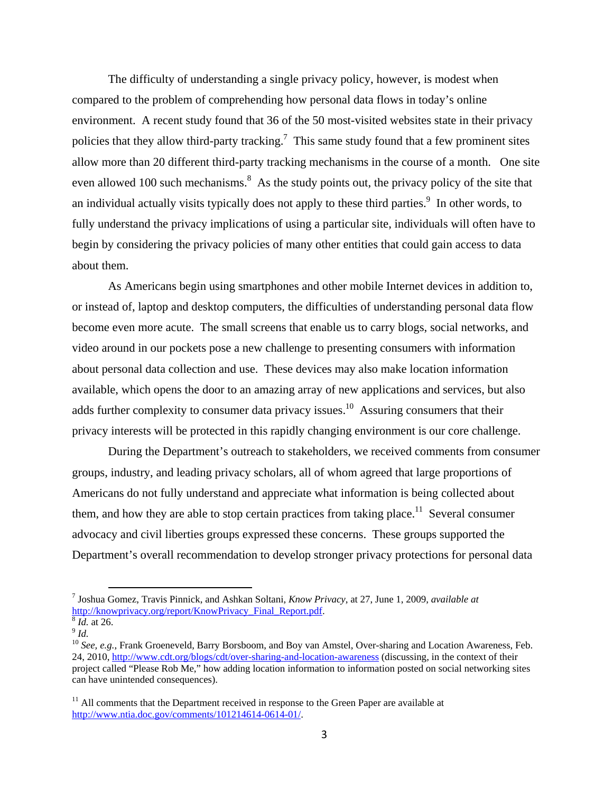The difficulty of understanding a single privacy policy, however, is modest when compared to the problem of comprehending how personal data flows in today's online environment. A recent study found that 36 of the 50 most-visited websites state in their privacy policies that they allow third-party tracking.<sup>7</sup> This same study found that a few prominent sites allow more than 20 different third-party tracking mechanisms in the course of a month. One site even allowed 100 such mechanisms.<sup>8</sup> As the study points out, the privacy policy of the site that an individual actually visits typically does not apply to these third parties.<sup>9</sup> In other words, to fully understand the privacy implications of using a particular site, individuals will often have to begin by considering the privacy policies of many other entities that could gain access to data about them.

As Americans begin using smartphones and other mobile Internet devices in addition to, or instead of, laptop and desktop computers, the difficulties of understanding personal data flow become even more acute. The small screens that enable us to carry blogs, social networks, and video around in our pockets pose a new challenge to presenting consumers with information about personal data collection and use. These devices may also make location information available, which opens the door to an amazing array of new applications and services, but also adds further complexity to consumer data privacy issues.<sup>10</sup> Assuring consumers that their privacy interests will be protected in this rapidly changing environment is our core challenge.

During the Department's outreach to stakeholders, we received comments from consumer groups, industry, and leading privacy scholars, all of whom agreed that large proportions of Americans do not fully understand and appreciate what information is being collected about them, and how they are able to stop certain practices from taking place.<sup>11</sup> Several consumer advocacy and civil liberties groups expressed these concerns. These groups supported the Department's overall recommendation to develop stronger privacy protections for personal data

 <sup>7</sup> Joshua Gomez, Travis Pinnick, and Ashkan Soltani, *Know Privacy*, at 27, June 1, 2009, *available at* http://knowprivacy.org/report/KnowPrivacy\_Final\_Report.pdf.<br><sup>8</sup> *Id.* at 26. *P.10 See, e.g.*, Frank Groeneveld, Barry Borsboom, and Boy van Amstel, Over-sharing and Location Awareness, Feb.

<sup>24, 2010,</sup> http://www.cdt.org/blogs/cdt/over-sharing-and-location-awareness (discussing, in the context of their project called "Please Rob Me," how adding location information to information posted on social networking sites can have unintended consequences).

 $11$  All comments that the Department received in response to the Green Paper are available at http://www.ntia.doc.gov/comments/101214614-0614-01/.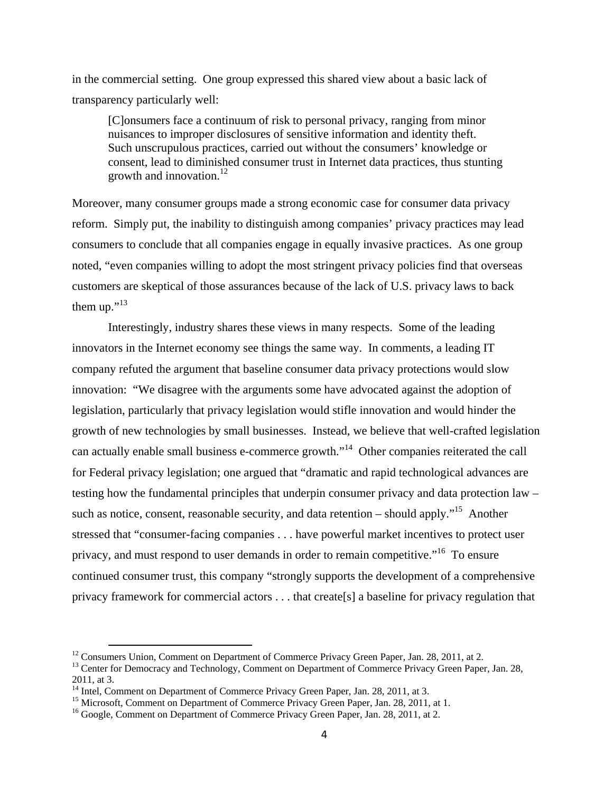in the commercial setting. One group expressed this shared view about a basic lack of transparency particularly well:

[C]onsumers face a continuum of risk to personal privacy, ranging from minor nuisances to improper disclosures of sensitive information and identity theft. Such unscrupulous practices, carried out without the consumers' knowledge or consent, lead to diminished consumer trust in Internet data practices, thus stunting growth and innovation. $^{12}$ 

Moreover, many consumer groups made a strong economic case for consumer data privacy reform. Simply put, the inability to distinguish among companies' privacy practices may lead consumers to conclude that all companies engage in equally invasive practices. As one group noted, "even companies willing to adopt the most stringent privacy policies find that overseas customers are skeptical of those assurances because of the lack of U.S. privacy laws to back them up." $13$ 

Interestingly, industry shares these views in many respects. Some of the leading innovators in the Internet economy see things the same way. In comments, a leading IT company refuted the argument that baseline consumer data privacy protections would slow innovation: "We disagree with the arguments some have advocated against the adoption of legislation, particularly that privacy legislation would stifle innovation and would hinder the growth of new technologies by small businesses. Instead, we believe that well-crafted legislation can actually enable small business e-commerce growth."14 Other companies reiterated the call for Federal privacy legislation; one argued that "dramatic and rapid technological advances are testing how the fundamental principles that underpin consumer privacy and data protection law – such as notice, consent, reasonable security, and data retention – should apply."<sup>15</sup> Another stressed that "consumer-facing companies . . . have powerful market incentives to protect user privacy, and must respond to user demands in order to remain competitive."16 To ensure continued consumer trust, this company "strongly supports the development of a comprehensive privacy framework for commercial actors . . . that create[s] a baseline for privacy regulation that

<sup>&</sup>lt;sup>12</sup> Consumers Union, Comment on Department of Commerce Privacy Green Paper, Jan. 28, 2011, at 2.

<sup>&</sup>lt;sup>13</sup> Center for Democracy and Technology, Comment on Department of Commerce Privacy Green Paper, Jan. 28, 2011, at 3.

<sup>&</sup>lt;sup>14</sup> Intel, Comment on Department of Commerce Privacy Green Paper, Jan. 28, 2011, at 3.

<sup>&</sup>lt;sup>15</sup> Microsoft, Comment on Department of Commerce Privacy Green Paper, Jan. 28, 2011, at 1.

<sup>&</sup>lt;sup>16</sup> Google, Comment on Department of Commerce Privacy Green Paper, Jan. 28, 2011, at 2.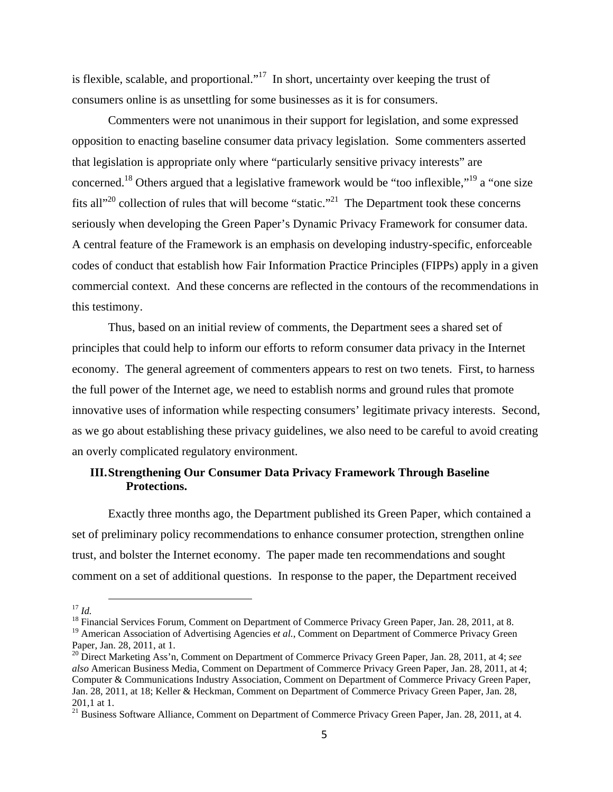is flexible, scalable, and proportional."<sup>17</sup> In short, uncertainty over keeping the trust of consumers online is as unsettling for some businesses as it is for consumers.

Commenters were not unanimous in their support for legislation, and some expressed opposition to enacting baseline consumer data privacy legislation. Some commenters asserted that legislation is appropriate only where "particularly sensitive privacy interests" are concerned.18 Others argued that a legislative framework would be "too inflexible,"19 a "one size fits all<sup> $20$ </sup> collection of rules that will become "static."<sup>21</sup> The Department took these concerns seriously when developing the Green Paper's Dynamic Privacy Framework for consumer data. A central feature of the Framework is an emphasis on developing industry-specific, enforceable codes of conduct that establish how Fair Information Practice Principles (FIPPs) apply in a given commercial context. And these concerns are reflected in the contours of the recommendations in this testimony.

Thus, based on an initial review of comments, the Department sees a shared set of principles that could help to inform our efforts to reform consumer data privacy in the Internet economy. The general agreement of commenters appears to rest on two tenets. First, to harness the full power of the Internet age, we need to establish norms and ground rules that promote innovative uses of information while respecting consumers' legitimate privacy interests. Second, as we go about establishing these privacy guidelines, we also need to be careful to avoid creating an overly complicated regulatory environment.

# **III.Strengthening Our Consumer Data Privacy Framework Through Baseline Protections.**

Exactly three months ago, the Department published its Green Paper, which contained a set of preliminary policy recommendations to enhance consumer protection, strengthen online trust, and bolster the Internet economy. The paper made ten recommendations and sought comment on a set of additional questions. In response to the paper, the Department received

<sup>&</sup>lt;sup>17</sup> *Id.* 18 Financial Services Forum, Comment on Department of Commerce Privacy Green Paper, Jan. 28, 2011, at 8. <sup>19</sup> American Association of Advertising Agencies et al., Comment on Department of Commerce Privacy Green Paper, Jan. 28, 2011, at 1.

<sup>20</sup> Direct Marketing Ass'n, Comment on Department of Commerce Privacy Green Paper, Jan. 28, 2011, at 4; *see also* American Business Media, Comment on Department of Commerce Privacy Green Paper, Jan. 28, 2011, at 4; Computer & Communications Industry Association, Comment on Department of Commerce Privacy Green Paper, Jan. 28, 2011, at 18; Keller & Heckman, Comment on Department of Commerce Privacy Green Paper, Jan. 28, 201,1 at 1.

<sup>201,</sup> at 1.<br><sup>21</sup> Business Software Alliance, Comment on Department of Commerce Privacy Green Paper, Jan. 28, 2011, at 4.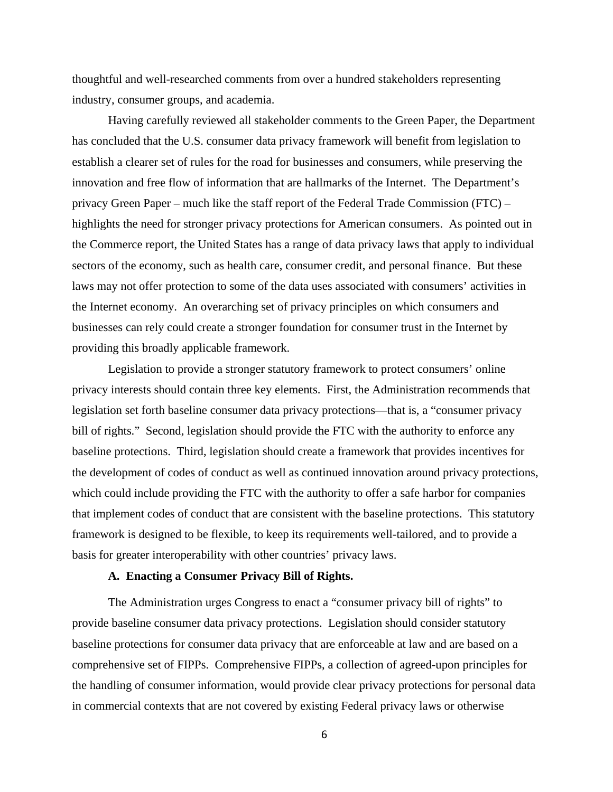thoughtful and well-researched comments from over a hundred stakeholders representing industry, consumer groups, and academia.

Having carefully reviewed all stakeholder comments to the Green Paper, the Department has concluded that the U.S. consumer data privacy framework will benefit from legislation to establish a clearer set of rules for the road for businesses and consumers, while preserving the innovation and free flow of information that are hallmarks of the Internet. The Department's privacy Green Paper – much like the staff report of the Federal Trade Commission (FTC) – highlights the need for stronger privacy protections for American consumers. As pointed out in the Commerce report, the United States has a range of data privacy laws that apply to individual sectors of the economy, such as health care, consumer credit, and personal finance. But these laws may not offer protection to some of the data uses associated with consumers' activities in the Internet economy. An overarching set of privacy principles on which consumers and businesses can rely could create a stronger foundation for consumer trust in the Internet by providing this broadly applicable framework.

Legislation to provide a stronger statutory framework to protect consumers' online privacy interests should contain three key elements. First, the Administration recommends that legislation set forth baseline consumer data privacy protections—that is, a "consumer privacy bill of rights." Second, legislation should provide the FTC with the authority to enforce any baseline protections. Third, legislation should create a framework that provides incentives for the development of codes of conduct as well as continued innovation around privacy protections, which could include providing the FTC with the authority to offer a safe harbor for companies that implement codes of conduct that are consistent with the baseline protections. This statutory framework is designed to be flexible, to keep its requirements well-tailored, and to provide a basis for greater interoperability with other countries' privacy laws.

### **A. Enacting a Consumer Privacy Bill of Rights.**

The Administration urges Congress to enact a "consumer privacy bill of rights" to provide baseline consumer data privacy protections. Legislation should consider statutory baseline protections for consumer data privacy that are enforceable at law and are based on a comprehensive set of FIPPs. Comprehensive FIPPs, a collection of agreed-upon principles for the handling of consumer information, would provide clear privacy protections for personal data in commercial contexts that are not covered by existing Federal privacy laws or otherwise

6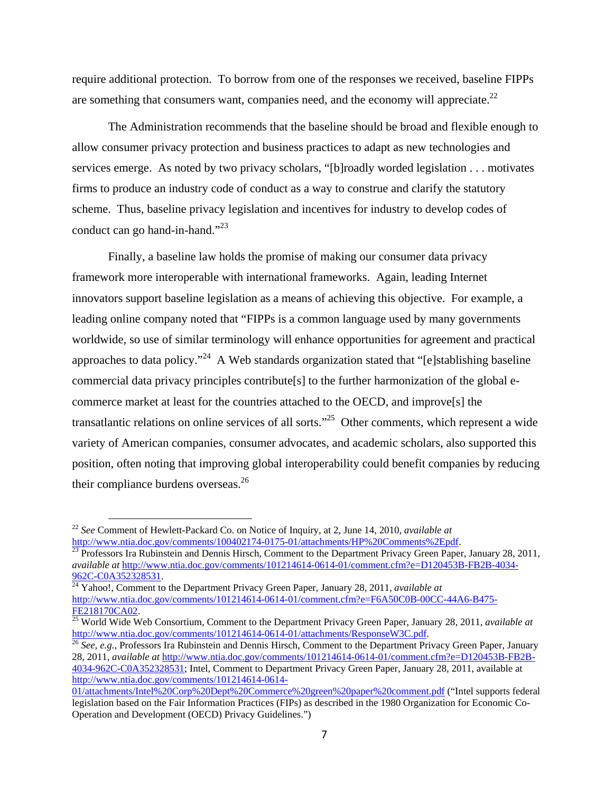require additional protection. To borrow from one of the responses we received, baseline FIPPs are something that consumers want, companies need, and the economy will appreciate.<sup>22</sup>

The Administration recommends that the baseline should be broad and flexible enough to allow consumer privacy protection and business practices to adapt as new technologies and services emerge. As noted by two privacy scholars, "[b]roadly worded legislation . . . motivates firms to produce an industry code of conduct as a way to construe and clarify the statutory scheme. Thus, baseline privacy legislation and incentives for industry to develop codes of conduct can go hand-in-hand."<sup>23</sup>

Finally, a baseline law holds the promise of making our consumer data privacy framework more interoperable with international frameworks. Again, leading Internet innovators support baseline legislation as a means of achieving this objective. For example, a leading online company noted that "FIPPs is a common language used by many governments worldwide, so use of similar terminology will enhance opportunities for agreement and practical approaches to data policy."<sup>24</sup> A Web standards organization stated that "[e]stablishing baseline commercial data privacy principles contribute[s] to the further harmonization of the global ecommerce market at least for the countries attached to the OECD, and improve[s] the transatlantic relations on online services of all sorts."<sup>25</sup> Other comments, which represent a wide variety of American companies, consumer advocates, and academic scholars, also supported this position, often noting that improving global interoperability could benefit companies by reducing their compliance burdens overseas.<sup>26</sup>

 $\frac{\ln(p_i/mww$ .ntia.doc.gov/comments/100402174-0175-11-01175-0111-0112012-01-attachments Privacy Green Paper, January 28, 2011, *available at* http://www.ntia.doc.gov/comments/101214614-0614-01/comment.cfm?e=D120453B-FB2B-4034- 962C-C0A352328531. 24 Yahoo!, Comment to the Department Privacy Green Paper, January 28, 2011, *available at*

http://www.ntia.doc.gov/comments/101214614-0614-01/comment.cfm?e=F6A50C0B-00CC-44A6-B475-

28, 2011, *available at* http://www.ntia.doc.gov/comments/101214614-0614-01/comment.cfm?e=D120453B-FB2B-4034-962C-C0A352328531; Intel, Comment to Department Privacy Green Paper, January 28, 2011, available at http://www.ntia.doc.gov/comments/101214614-0614-

<sup>&</sup>lt;sup>22</sup> *See* Comment of Hewlett-Packard Co. on Notice of Inquiry, at 2, June 14, 2010, *available at* http://www.ntia.doc.gov/comments/100402174-0175-01/attachments/HP%20Comments%2Epdf.

FE218170CA02. 25 World Wide Web Consortium, Comment to the Department Privacy Green Paper, January 28, 2011, *available at* http://www.ntia.doc.gov/comments/101214614-0614-01/attachments/ResponseW3C.pdf.<br><sup>26</sup> *See, e.g.*, Professors Ira Rubinstein and Dennis Hirsch, Comment to the Department Privacy Green Paper, January

<sup>01/</sup>attachments/Intel%20Corp%20Dept%20Commerce%20green%20paper%20comment.pdf ("Intel supports federal legislation based on the Fair Information Practices (FIPs) as described in the 1980 Organization for Economic Co-Operation and Development (OECD) Privacy Guidelines.")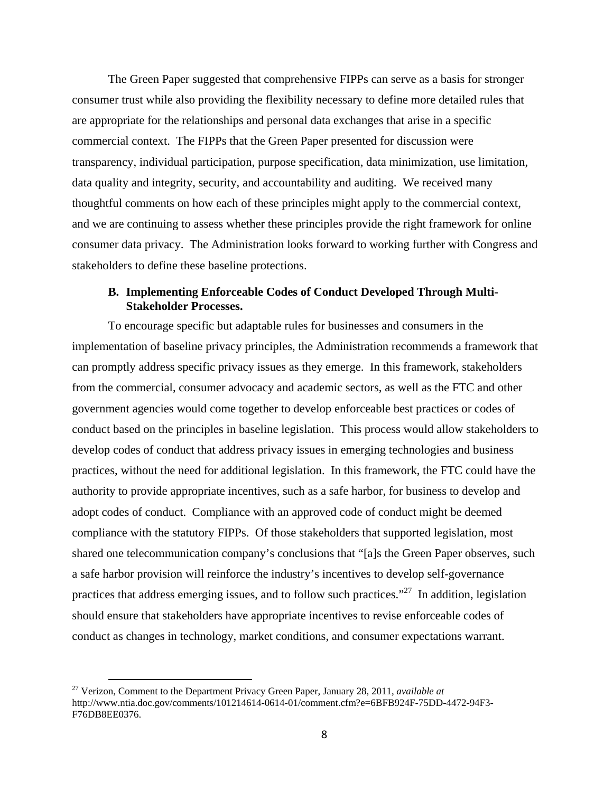The Green Paper suggested that comprehensive FIPPs can serve as a basis for stronger consumer trust while also providing the flexibility necessary to define more detailed rules that are appropriate for the relationships and personal data exchanges that arise in a specific commercial context. The FIPPs that the Green Paper presented for discussion were transparency, individual participation, purpose specification, data minimization, use limitation, data quality and integrity, security, and accountability and auditing. We received many thoughtful comments on how each of these principles might apply to the commercial context, and we are continuing to assess whether these principles provide the right framework for online consumer data privacy. The Administration looks forward to working further with Congress and stakeholders to define these baseline protections.

# **B. Implementing Enforceable Codes of Conduct Developed Through Multi-Stakeholder Processes.**

To encourage specific but adaptable rules for businesses and consumers in the implementation of baseline privacy principles, the Administration recommends a framework that can promptly address specific privacy issues as they emerge. In this framework, stakeholders from the commercial, consumer advocacy and academic sectors, as well as the FTC and other government agencies would come together to develop enforceable best practices or codes of conduct based on the principles in baseline legislation. This process would allow stakeholders to develop codes of conduct that address privacy issues in emerging technologies and business practices, without the need for additional legislation. In this framework, the FTC could have the authority to provide appropriate incentives, such as a safe harbor, for business to develop and adopt codes of conduct. Compliance with an approved code of conduct might be deemed compliance with the statutory FIPPs. Of those stakeholders that supported legislation, most shared one telecommunication company's conclusions that "[a]s the Green Paper observes, such a safe harbor provision will reinforce the industry's incentives to develop self-governance practices that address emerging issues, and to follow such practices."27 In addition, legislation should ensure that stakeholders have appropriate incentives to revise enforceable codes of conduct as changes in technology, market conditions, and consumer expectations warrant.

 27 Verizon, Comment to the Department Privacy Green Paper, January 28, 2011, *available at* http://www.ntia.doc.gov/comments/101214614-0614-01/comment.cfm?e=6BFB924F-75DD-4472-94F3- F76DB8EE0376.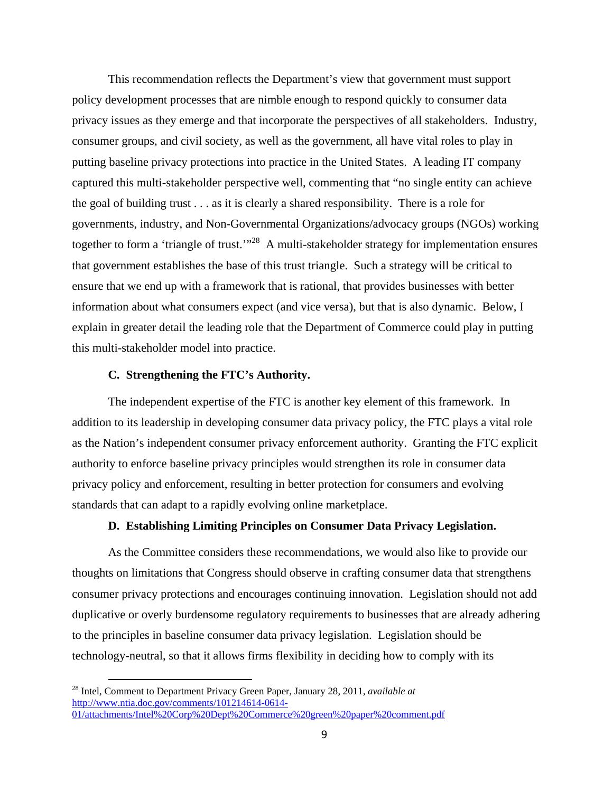This recommendation reflects the Department's view that government must support policy development processes that are nimble enough to respond quickly to consumer data privacy issues as they emerge and that incorporate the perspectives of all stakeholders. Industry, consumer groups, and civil society, as well as the government, all have vital roles to play in putting baseline privacy protections into practice in the United States. A leading IT company captured this multi-stakeholder perspective well, commenting that "no single entity can achieve the goal of building trust . . . as it is clearly a shared responsibility. There is a role for governments, industry, and Non-Governmental Organizations/advocacy groups (NGOs) working together to form a 'triangle of trust.'"<sup>28</sup> A multi-stakeholder strategy for implementation ensures that government establishes the base of this trust triangle. Such a strategy will be critical to ensure that we end up with a framework that is rational, that provides businesses with better information about what consumers expect (and vice versa), but that is also dynamic. Below, I explain in greater detail the leading role that the Department of Commerce could play in putting this multi-stakeholder model into practice.

# **C. Strengthening the FTC's Authority.**

The independent expertise of the FTC is another key element of this framework. In addition to its leadership in developing consumer data privacy policy, the FTC plays a vital role as the Nation's independent consumer privacy enforcement authority. Granting the FTC explicit authority to enforce baseline privacy principles would strengthen its role in consumer data privacy policy and enforcement, resulting in better protection for consumers and evolving standards that can adapt to a rapidly evolving online marketplace.

#### **D. Establishing Limiting Principles on Consumer Data Privacy Legislation.**

As the Committee considers these recommendations, we would also like to provide our thoughts on limitations that Congress should observe in crafting consumer data that strengthens consumer privacy protections and encourages continuing innovation. Legislation should not add duplicative or overly burdensome regulatory requirements to businesses that are already adhering to the principles in baseline consumer data privacy legislation. Legislation should be technology-neutral, so that it allows firms flexibility in deciding how to comply with its

 28 Intel, Comment to Department Privacy Green Paper, January 28, 2011, *available at*  http://www.ntia.doc.gov/comments/101214614-0614- 01/attachments/Intel%20Corp%20Dept%20Commerce%20green%20paper%20comment.pdf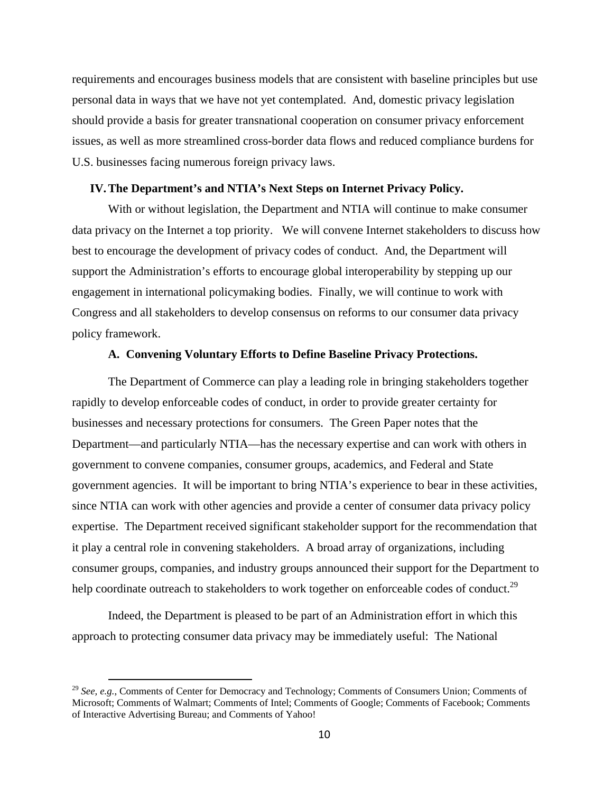requirements and encourages business models that are consistent with baseline principles but use personal data in ways that we have not yet contemplated. And, domestic privacy legislation should provide a basis for greater transnational cooperation on consumer privacy enforcement issues, as well as more streamlined cross-border data flows and reduced compliance burdens for U.S. businesses facing numerous foreign privacy laws.

### **IV.The Department's and NTIA's Next Steps on Internet Privacy Policy.**

With or without legislation, the Department and NTIA will continue to make consumer data privacy on the Internet a top priority. We will convene Internet stakeholders to discuss how best to encourage the development of privacy codes of conduct. And, the Department will support the Administration's efforts to encourage global interoperability by stepping up our engagement in international policymaking bodies. Finally, we will continue to work with Congress and all stakeholders to develop consensus on reforms to our consumer data privacy policy framework.

# **A. Convening Voluntary Efforts to Define Baseline Privacy Protections.**

The Department of Commerce can play a leading role in bringing stakeholders together rapidly to develop enforceable codes of conduct, in order to provide greater certainty for businesses and necessary protections for consumers. The Green Paper notes that the Department—and particularly NTIA—has the necessary expertise and can work with others in government to convene companies, consumer groups, academics, and Federal and State government agencies. It will be important to bring NTIA's experience to bear in these activities, since NTIA can work with other agencies and provide a center of consumer data privacy policy expertise. The Department received significant stakeholder support for the recommendation that it play a central role in convening stakeholders. A broad array of organizations, including consumer groups, companies, and industry groups announced their support for the Department to help coordinate outreach to stakeholders to work together on enforceable codes of conduct.<sup>29</sup>

Indeed, the Department is pleased to be part of an Administration effort in which this approach to protecting consumer data privacy may be immediately useful: The National

 <sup>29</sup> *See, e.g.*, Comments of Center for Democracy and Technology; Comments of Consumers Union; Comments of Microsoft; Comments of Walmart; Comments of Intel; Comments of Google; Comments of Facebook; Comments of Interactive Advertising Bureau; and Comments of Yahoo!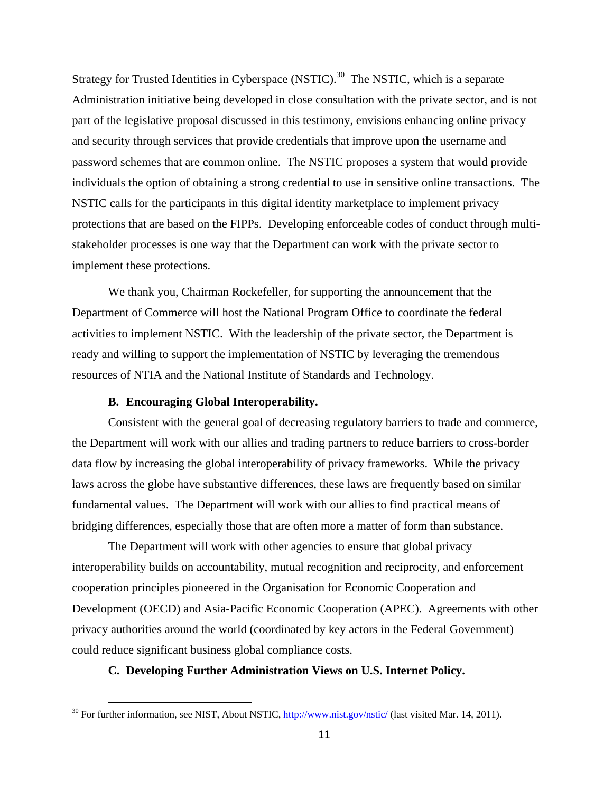Strategy for Trusted Identities in Cyberspace (NSTIC).<sup>30</sup> The NSTIC, which is a separate Administration initiative being developed in close consultation with the private sector, and is not part of the legislative proposal discussed in this testimony, envisions enhancing online privacy and security through services that provide credentials that improve upon the username and password schemes that are common online. The NSTIC proposes a system that would provide individuals the option of obtaining a strong credential to use in sensitive online transactions. The NSTIC calls for the participants in this digital identity marketplace to implement privacy protections that are based on the FIPPs. Developing enforceable codes of conduct through multistakeholder processes is one way that the Department can work with the private sector to implement these protections.

We thank you, Chairman Rockefeller, for supporting the announcement that the Department of Commerce will host the National Program Office to coordinate the federal activities to implement NSTIC. With the leadership of the private sector, the Department is ready and willing to support the implementation of NSTIC by leveraging the tremendous resources of NTIA and the National Institute of Standards and Technology.

### **B. Encouraging Global Interoperability.**

 Consistent with the general goal of decreasing regulatory barriers to trade and commerce, the Department will work with our allies and trading partners to reduce barriers to cross-border data flow by increasing the global interoperability of privacy frameworks. While the privacy laws across the globe have substantive differences, these laws are frequently based on similar fundamental values. The Department will work with our allies to find practical means of bridging differences, especially those that are often more a matter of form than substance.

 The Department will work with other agencies to ensure that global privacy interoperability builds on accountability, mutual recognition and reciprocity, and enforcement cooperation principles pioneered in the Organisation for Economic Cooperation and Development (OECD) and Asia-Pacific Economic Cooperation (APEC). Agreements with other privacy authorities around the world (coordinated by key actors in the Federal Government) could reduce significant business global compliance costs.

# **C. Developing Further Administration Views on U.S. Internet Policy.**

 $30$  For further information, see NIST, About NSTIC,  $\frac{http://www.nist.gov/nstic/}{}$  (last visited Mar. 14, 2011).